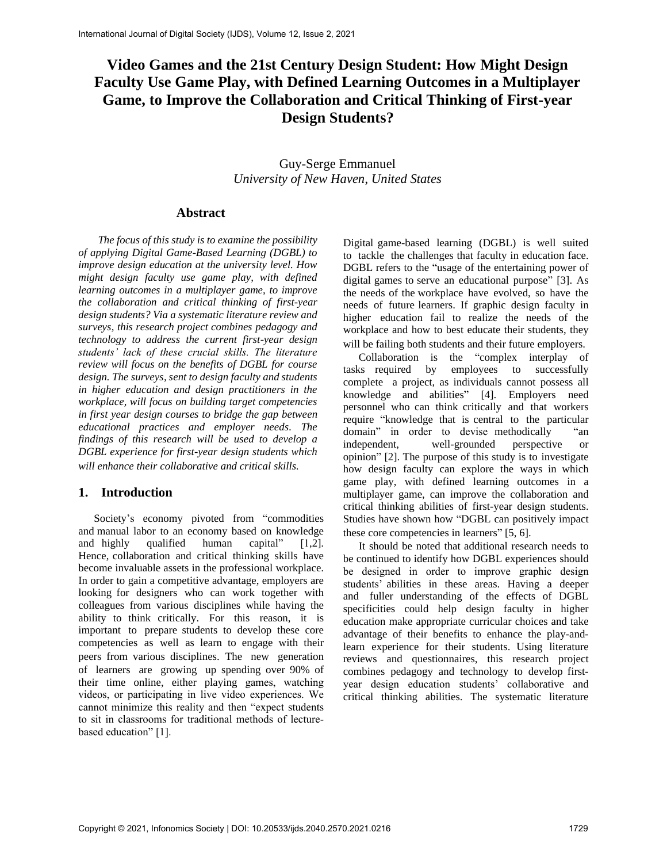# **Video Games and the 21st Century Design Student: How Might Design Faculty Use Game Play, with Defined Learning Outcomes in a Multiplayer Game, to Improve the Collaboration and Critical Thinking of First-year Design Students?**

Guy-Serge Emmanuel *University of New Haven*, *United States*

#### **Abstract**

*The focus of this study is to examine the possibility of applying Digital Game-Based Learning (DGBL) to improve design education at the university level. How might design faculty use game play, with defined learning outcomes in a multiplayer game, to improve the collaboration and critical thinking of first-year design students? Via a systematic literature review and surveys, this research project combines pedagogy and technology to address the current first-year design students' lack of these crucial skills. The literature review will focus on the benefits of DGBL for course design. The surveys, sent to design faculty and students in higher education and design practitioners in the workplace, will focus on building target competencies in first year design courses to bridge the gap between educational practices and employer needs. The findings of this research will be used to develop a DGBL experience for first-year design students which will enhance their collaborative and critical skills.*

#### **1. Introduction**

Society's economy pivoted from "commodities and manual labor to an economy based on knowledge and highly qualified human capital" [1,2]. Hence, collaboration and critical thinking skills have become invaluable assets in the professional workplace. In order to gain a competitive advantage, employers are looking for designers who can work together with colleagues from various disciplines while having the ability to think critically. For this reason, it is important to prepare students to develop these core competencies as well as learn to engage with their peers from various disciplines. The new generation of learners are growing up spending over 90% of their time online, either playing games, watching videos, or participating in live video experiences. We cannot minimize this reality and then "expect students to sit in classrooms for traditional methods of lecturebased education" [1].

Digital game-based learning (DGBL) is well suited to tackle the challenges that faculty in education face. DGBL refers to the "usage of the entertaining power of digital games to serve an educational purpose" [3]. As the needs of the workplace have evolved, so have the needs of future learners. If graphic design faculty in higher education fail to realize the needs of the workplace and how to best educate their students, they will be failing both students and their future employers.

Collaboration is the "complex interplay of tasks required by employees to successfully complete a project, as individuals cannot possess all knowledge and abilities" [4]. Employers need personnel who can think critically and that workers require "knowledge that is central to the particular domain" in order to devise methodically "an independent, well-grounded perspective or opinion" [2]. The purpose of this study is to investigate how design faculty can explore the ways in which game play, with defined learning outcomes in a multiplayer game, can improve the collaboration and critical thinking abilities of first-year design students. Studies have shown how "DGBL can positively impact these core competencies in learners" [5, 6].

It should be noted that additional research needs to be continued to identify how DGBL experiences should be designed in order to improve graphic design students' abilities in these areas. Having a deeper and fuller understanding of the effects of DGBL specificities could help design faculty in higher education make appropriate curricular choices and take advantage of their benefits to enhance the play-andlearn experience for their students. Using literature reviews and questionnaires, this research project combines pedagogy and technology to develop firstyear design education students' collaborative and critical thinking abilities. The systematic literature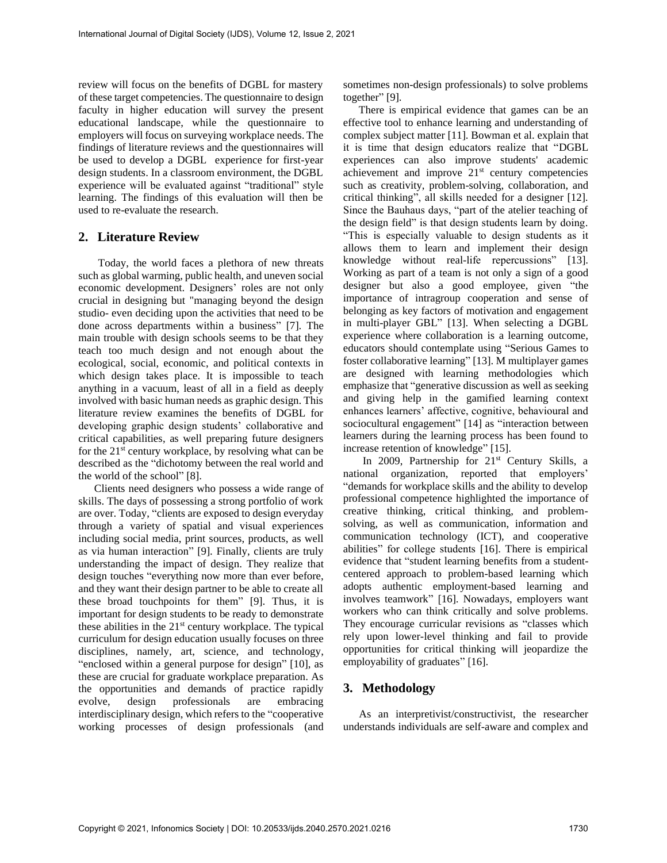review will focus on the benefits of DGBL for mastery of these target competencies. The questionnaire to design faculty in higher education will survey the present educational landscape, while the questionnaire to employers will focus on surveying workplace needs. The findings of literature reviews and the questionnaires will be used to develop a DGBL experience for first-year design students. In a classroom environment, the DGBL experience will be evaluated against "traditional" style learning. The findings of this evaluation will then be used to re-evaluate the research.

#### **2. Literature Review**

Today, the world faces a plethora of new threats such as global warming, public health, and uneven social economic development. Designers' roles are not only crucial in designing but "managing beyond the design studio- even deciding upon the activities that need to be done across departments within a business" [7]. The main trouble with design schools seems to be that they teach too much design and not enough about the ecological, social, economic, and political contexts in which design takes place. It is impossible to teach anything in a vacuum, least of all in a field as deeply involved with basic human needs as graphic design. This literature review examines the benefits of DGBL for developing graphic design students' collaborative and critical capabilities, as well preparing future designers for the  $21<sup>st</sup>$  century workplace, by resolving what can be described as the "dichotomy between the real world and the world of the school" [8].

Clients need designers who possess a wide range of skills. The days of possessing a strong portfolio of work are over. Today, "clients are exposed to design everyday through a variety of spatial and visual experiences including social media, print sources, products, as well as via human interaction" [9]. Finally, clients are truly understanding the impact of design. They realize that design touches "everything now more than ever before, and they want their design partner to be able to create all these broad touchpoints for them" [9]. Thus, it is important for design students to be ready to demonstrate these abilities in the  $21<sup>st</sup>$  century workplace. The typical curriculum for design education usually focuses on three disciplines, namely, art, science, and technology, "enclosed within a general purpose for design" [10], as these are crucial for graduate workplace preparation. As the opportunities and demands of practice rapidly evolve, design professionals are embracing interdisciplinary design, which refers to the "cooperative working processes of design professionals (and

sometimes non-design professionals) to solve problems together" [9].

There is empirical evidence that games can be an effective tool to enhance learning and understanding of complex subject matter [11]. Bowman et al. explain that it is time that design educators realize that "DGBL experiences can also improve students' academic achievement and improve 21<sup>st</sup> century competencies such as creativity, problem-solving, collaboration, and critical thinking", all skills needed for a designer [12]. Since the Bauhaus days, "part of the atelier teaching of the design field" is that design students learn by doing. "This is especially valuable to design students as it allows them to learn and implement their design knowledge without real-life repercussions" [13]. Working as part of a team is not only a sign of a good designer but also a good employee, given "the importance of intragroup cooperation and sense of belonging as key factors of motivation and engagement in multi-player GBL" [13]. When selecting a DGBL experience where collaboration is a learning outcome, educators should contemplate using "Serious Games to foster collaborative learning" [13]. M multiplayer games are designed with learning methodologies which emphasize that "generative discussion as well as seeking and giving help in the gamified learning context enhances learners' affective, cognitive, behavioural and sociocultural engagement" [14] as "interaction between learners during the learning process has been found to increase retention of knowledge" [15].

In 2009, Partnership for 21<sup>st</sup> Century Skills, a national organization, reported that employers' "demands for workplace skills and the ability to develop professional competence highlighted the importance of creative thinking, critical thinking, and problemsolving, as well as communication, information and communication technology (ICT), and cooperative abilities" for college students [16]. There is empirical evidence that "student learning benefits from a studentcentered approach to problem-based learning which adopts authentic employment-based learning and involves teamwork" [16]. Nowadays, employers want workers who can think critically and solve problems. They encourage curricular revisions as "classes which rely upon lower-level thinking and fail to provide opportunities for critical thinking will jeopardize the employability of graduates" [16].

#### **3. Methodology**

As an interpretivist/constructivist, the researcher understands individuals are self-aware and complex and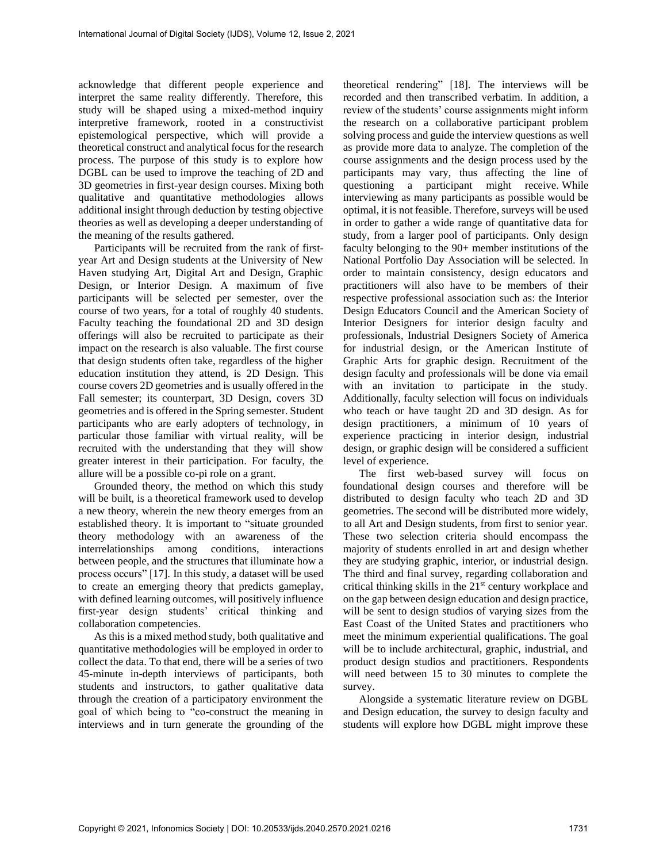acknowledge that different people experience and interpret the same reality differently. Therefore, this study will be shaped using a mixed-method inquiry interpretive framework, rooted in a constructivist epistemological perspective, which will provide a theoretical construct and analytical focus for the research process. The purpose of this study is to explore how DGBL can be used to improve the teaching of 2D and 3D geometries in first-year design courses. Mixing both qualitative and quantitative methodologies allows additional insight through deduction by testing objective theories as well as developing a deeper understanding of the meaning of the results gathered.

Participants will be recruited from the rank of firstyear Art and Design students at the University of New Haven studying Art, Digital Art and Design, Graphic Design, or Interior Design. A maximum of five participants will be selected per semester, over the course of two years, for a total of roughly 40 students. Faculty teaching the foundational 2D and 3D design offerings will also be recruited to participate as their impact on the research is also valuable. The first course that design students often take, regardless of the higher education institution they attend, is 2D Design. This course covers 2D geometries and is usually offered in the Fall semester; its counterpart, 3D Design, covers 3D geometries and is offered in the Spring semester. Student participants who are early adopters of technology, in particular those familiar with virtual reality, will be recruited with the understanding that they will show greater interest in their participation. For faculty, the allure will be a possible co-pi role on a grant.

Grounded theory, the method on which this study will be built, is a theoretical framework used to develop a new theory, wherein the new theory emerges from an established theory. It is important to "situate grounded theory methodology with an awareness of the interrelationships among conditions, interactions between people, and the structures that illuminate how a process occurs" [17]. In this study, a dataset will be used to create an emerging theory that predicts gameplay, with defined learning outcomes, will positively influence first-year design students' critical thinking and collaboration competencies.

As this is a mixed method study, both qualitative and quantitative methodologies will be employed in order to collect the data. To that end, there will be a series of two 45-minute in-depth interviews of participants, both students and instructors, to gather qualitative data through the creation of a participatory environment the goal of which being to "co-construct the meaning in interviews and in turn generate the grounding of the

theoretical rendering" [18]. The interviews will be recorded and then transcribed verbatim. In addition, a review of the students' course assignments might inform the research on a collaborative participant problem solving process and guide the interview questions as well as provide more data to analyze. The completion of the course assignments and the design process used by the participants may vary, thus affecting the line of questioning a participant might receive. While interviewing as many participants as possible would be optimal, it is not feasible. Therefore, surveys will be used in order to gather a wide range of quantitative data for study, from a larger pool of participants. Only design faculty belonging to the 90+ member institutions of the National Portfolio Day Association will be selected. In order to maintain consistency, design educators and practitioners will also have to be members of their respective professional association such as: the Interior Design Educators Council and the American Society of Interior Designers for interior design faculty and professionals, Industrial Designers Society of America for industrial design, or the American Institute of Graphic Arts for graphic design. Recruitment of the design faculty and professionals will be done via email with an invitation to participate in the study. Additionally, faculty selection will focus on individuals who teach or have taught 2D and 3D design. As for design practitioners, a minimum of 10 years of experience practicing in interior design, industrial design, or graphic design will be considered a sufficient level of experience.

The first web-based survey will focus on foundational design courses and therefore will be distributed to design faculty who teach 2D and 3D geometries. The second will be distributed more widely, to all Art and Design students, from first to senior year. These two selection criteria should encompass the majority of students enrolled in art and design whether they are studying graphic, interior, or industrial design. The third and final survey, regarding collaboration and critical thinking skills in the 21st century workplace and on the gap between design education and design practice, will be sent to design studios of varying sizes from the East Coast of the United States and practitioners who meet the minimum experiential qualifications. The goal will be to include architectural, graphic, industrial, and product design studios and practitioners. Respondents will need between 15 to 30 minutes to complete the survey.

Alongside a systematic literature review on DGBL and Design education, the survey to design faculty and students will explore how DGBL might improve these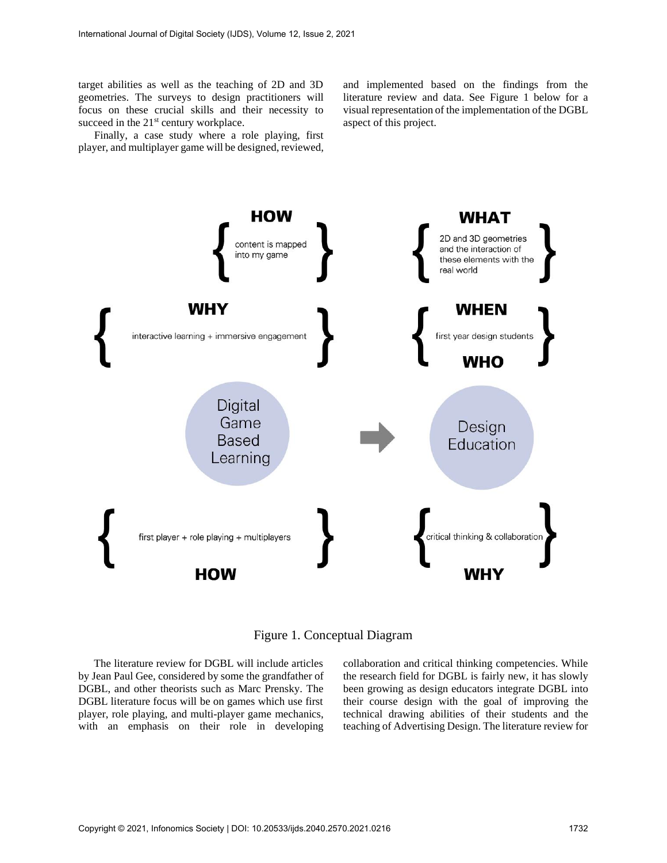target abilities as well as the teaching of 2D and 3D geometries. The surveys to design practitioners will focus on these crucial skills and their necessity to succeed in the  $21<sup>st</sup>$  century workplace.

Finally, a case study where a role playing, first player, and multiplayer game will be designed, reviewed,

and implemented based on the findings from the literature review and data. See Figure 1 below for a visual representation of the implementation of the DGBL aspect of this project.



Figure 1. Conceptual Diagram

The literature review for DGBL will include articles by Jean Paul Gee, considered by some the grandfather of DGBL, and other theorists such as Marc Prensky. The DGBL literature focus will be on games which use first player, role playing, and multi-player game mechanics, with an emphasis on their role in developing collaboration and critical thinking competencies. While the research field for DGBL is fairly new, it has slowly been growing as design educators integrate DGBL into their course design with the goal of improving the technical drawing abilities of their students and the teaching of Advertising Design. The literature review for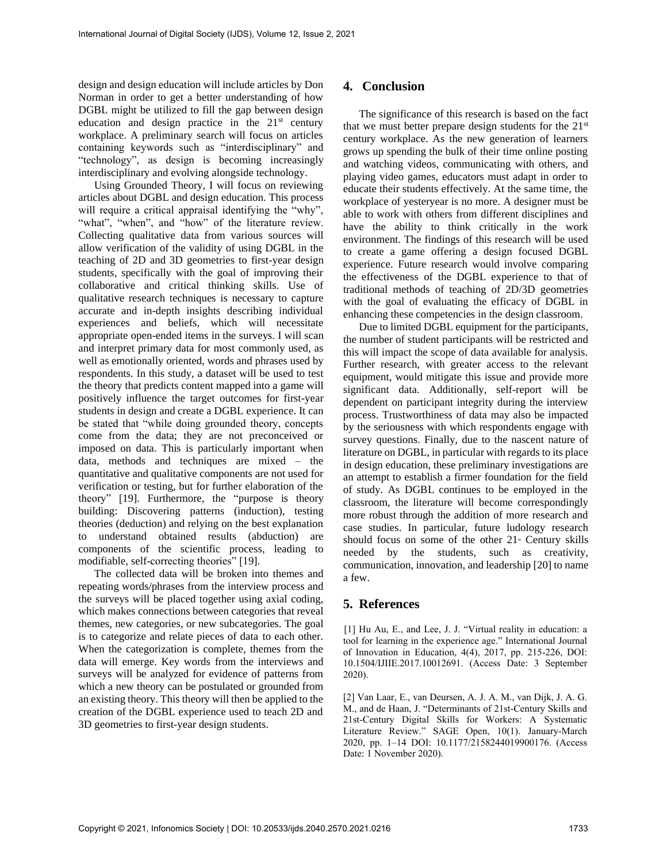design and design education will include articles by Don Norman in order to get a better understanding of how DGBL might be utilized to fill the gap between design education and design practice in the  $21<sup>st</sup>$  century workplace. A preliminary search will focus on articles containing keywords such as "interdisciplinary" and "technology", as design is becoming increasingly interdisciplinary and evolving alongside technology.

Using Grounded Theory, I will focus on reviewing articles about DGBL and design education. This process will require a critical appraisal identifying the "why", "what", "when", and "how" of the literature review. Collecting qualitative data from various sources will allow verification of the validity of using DGBL in the teaching of 2D and 3D geometries to first-year design students, specifically with the goal of improving their collaborative and critical thinking skills. Use of qualitative research techniques is necessary to capture accurate and in-depth insights describing individual experiences and beliefs, which will necessitate appropriate open-ended items in the surveys. I will scan and interpret primary data for most commonly used, as well as emotionally oriented, words and phrases used by respondents. In this study, a dataset will be used to test the theory that predicts content mapped into a game will positively influence the target outcomes for first-year students in design and create a DGBL experience. It can be stated that "while doing grounded theory, concepts come from the data; they are not preconceived or imposed on data. This is particularly important when data, methods and techniques are mixed – the quantitative and qualitative components are not used for verification or testing, but for further elaboration of the theory" [19]. Furthermore, the "purpose is theory building: Discovering patterns (induction), testing theories (deduction) and relying on the best explanation to understand obtained results (abduction) are components of the scientific process, leading to modifiable, self-correcting theories" [19].

The collected data will be broken into themes and repeating words/phrases from the interview process and the surveys will be placed together using axial coding, which makes connections between categories that reveal themes, new categories, or new subcategories. The goal is to categorize and relate pieces of data to each other. When the categorization is complete, themes from the data will emerge. Key words from the interviews and surveys will be analyzed for evidence of patterns from which a new theory can be postulated or grounded from an existing theory. This theory will then be applied to the creation of the DGBL experience used to teach 2D and 3D geometries to first-year design students.

### **4. Conclusion**

The significance of this research is based on the fact that we must better prepare design students for the 21st century workplace. As the new generation of learners grows up spending the bulk of their time online posting and watching videos, communicating with others, and playing video games, educators must adapt in order to educate their students effectively. At the same time, the workplace of yesteryear is no more. A designer must be able to work with others from different disciplines and have the ability to think critically in the work environment. The findings of this research will be used to create a game offering a design focused DGBL experience. Future research would involve comparing the effectiveness of the DGBL experience to that of traditional methods of teaching of 2D/3D geometries with the goal of evaluating the efficacy of DGBL in enhancing these competencies in the design classroom.

Due to limited DGBL equipment for the participants, the number of student participants will be restricted and this will impact the scope of data available for analysis. Further research, with greater access to the relevant equipment, would mitigate this issue and provide more significant data. Additionally, self-report will be dependent on participant integrity during the interview process. Trustworthiness of data may also be impacted by the seriousness with which respondents engage with survey questions. Finally, due to the nascent nature of literature on DGBL, in particular with regards to its place in design education, these preliminary investigations are an attempt to establish a firmer foundation for the field of study. As DGBL continues to be employed in the classroom, the literature will become correspondingly more robust through the addition of more research and case studies. In particular, future ludology research should focus on some of the other  $21$ <sup>st</sup> Century skills needed by the students, such as creativity, communication, innovation, and leadership [20] to name a few.

## **5. References**

[1] Hu Au, E., and Lee, J. J. "Virtual reality in education: a tool for learning in the experience age." International Journal of Innovation in Education, 4(4), 2017, pp. 215-226, DOI: 10.1504/IJIIE.2017.10012691. (Access Date: 3 September 2020).

[2] Van Laar, E., van Deursen, A. J. A. M., van Dijk, J. A. G. M., and de Haan, J. "Determinants of 21st-Century Skills and 21st-Century Digital Skills for Workers: A Systematic Literature Review." SAGE Open, 10(1). January-March 2020, pp. 1–14 DOI: 10.1177/2158244019900176. (Access Date: 1 November 2020).